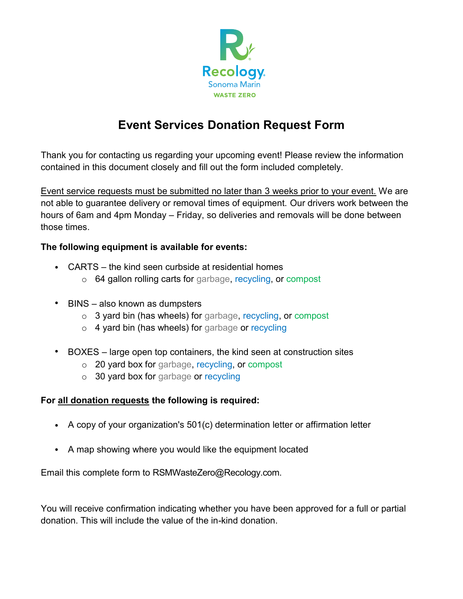

## **Event Services Donation Request Form**

Thank you for contacting us regarding your upcoming event! Please review the information contained in this document closely and fill out the form included completely.

Event service requests must be submitted no later than 3 weeks prior to your event. We are not able to guarantee delivery or removal times of equipment. Our drivers work between the hours of 6am and 4pm Monday – Friday, so deliveries and removals will be done between those times.

### **The following equipment is available for events:**

- CARTS the kind seen curbside at residential homes
	- o 64 gallon rolling carts for garbage, recycling, or compost
- BINS also known as dumpsters
	- o 3 yard bin (has wheels) for garbage, recycling, or compost
	- o 4 yard bin (has wheels) for garbage or recycling
- BOXES large open top containers, the kind seen at construction sites
	- o 20 yard box for garbage, recycling, or compost
	- o 30 yard box for garbage or recycling

#### **For all donation requests the following is required:**

- A copy of your organization's 501(c) determination letter or affirmation letter
- A map showing where you would like the equipment located

Email this complete form to RSMWasteZero@Recology.com.

You will receive confirmation indicating whether you have been approved for a full or partial donation. This will include the value of the in-kind donation.